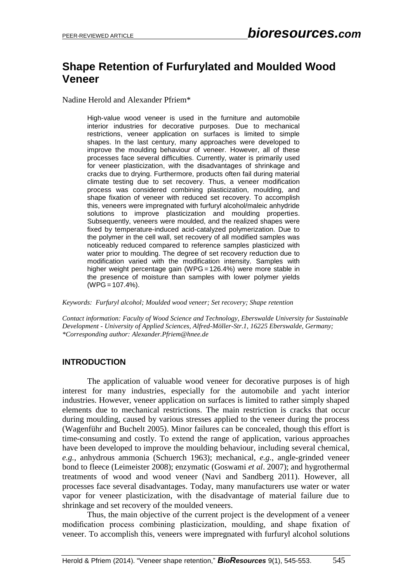# **Shape Retention of Furfurylated and Moulded Wood Veneer**

Nadine Herold and Alexander Pfriem\*

High-value wood veneer is used in the furniture and automobile interior industries for decorative purposes. Due to mechanical restrictions, veneer application on surfaces is limited to simple shapes. In the last century, many approaches were developed to improve the moulding behaviour of veneer. However, all of these processes face several difficulties. Currently, water is primarily used for veneer plasticization, with the disadvantages of shrinkage and cracks due to drying. Furthermore, products often fail during material climate testing due to set recovery. Thus, a veneer modification process was considered combining plasticization, moulding, and shape fixation of veneer with reduced set recovery. To accomplish this, veneers were impregnated with furfuryl alcohol/maleic anhydride solutions to improve plasticization and moulding properties. Subsequently, veneers were moulded, and the realized shapes were fixed by temperature-induced acid-catalyzed polymerization. Due to the polymer in the cell wall, set recovery of all modified samples was noticeably reduced compared to reference samples plasticized with water prior to moulding. The degree of set recovery reduction due to modification varied with the modification intensity. Samples with higher weight percentage gain (WPG = 126.4%) were more stable in the presence of moisture than samples with lower polymer yields (WPG = 107.4%).

*Keywords: Furfuryl alcohol; Moulded wood veneer; Set recovery; Shape retention*

*Contact information: Faculty of Wood Science and Technology, Eberswalde University for Sustainable Development - University of Applied Sciences, Alfred-Möller-Str.1, 16225 Eberswalde, Germany; \*Corresponding author: Alexander.Pfriem@hnee.de*

## **INTRODUCTION**

The application of valuable wood veneer for decorative purposes is of high interest for many industries, especially for the automobile and yacht interior industries. However, veneer application on surfaces is limited to rather simply shaped elements due to mechanical restrictions. The main restriction is cracks that occur during moulding, caused by various stresses applied to the veneer during the process (Wagenführ and Buchelt 2005). Minor failures can be concealed, though this effort is time-consuming and costly. To extend the range of application, various approaches have been developed to improve the moulding behaviour, including several chemical, *e.g.*, anhydrous ammonia (Schuerch 1963); mechanical, *e.g.*, angle-grinded veneer bond to fleece (Leimeister 2008); enzymatic (Goswami *et al*. 2007); and hygrothermal treatments of wood and wood veneer (Navi and Sandberg 2011). However, all processes face several disadvantages. Today, many manufacturers use water or water vapor for veneer plasticization, with the disadvantage of material failure due to shrinkage and set recovery of the moulded veneers.

Thus, the main objective of the current project is the development of a veneer modification process combining plasticization, moulding, and shape fixation of veneer. To accomplish this, veneers were impregnated with furfuryl alcohol solutions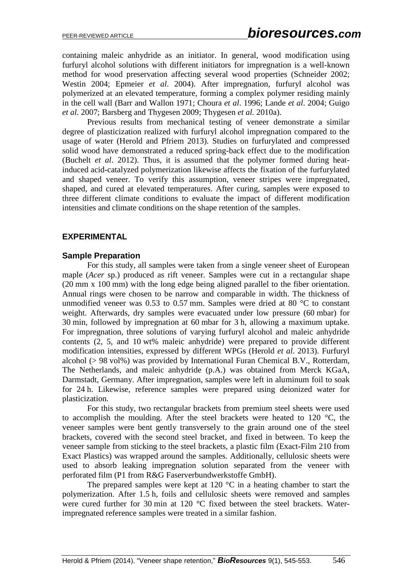containing maleic anhydride as an initiator. In general, wood modification using furfuryl alcohol solutions with different initiators for impregnation is a well-known method for wood preservation affecting several wood properties (Schneider 2002; Westin 2004; Epmeier *et al*. 2004). After impregnation, furfuryl alcohol was polymerized at an elevated temperature, forming a complex polymer residing mainly in the cell wall (Barr and Wallon 1971; Choura *et al*. 1996; Lande *et al*. 2004; Guigo *et al*. 2007; Barsberg and Thygesen 2009; Thygesen *et al.* 2010a).

Previous results from mechanical testing of veneer demonstrate a similar degree of plasticization realized with furfuryl alcohol impregnation compared to the usage of water (Herold and Pfriem 2013). Studies on furfurylated and compressed solid wood have demonstrated a reduced spring-back effect due to the modification (Buchelt *et al*. 2012). Thus, it is assumed that the polymer formed during heatinduced acid-catalyzed polymerization likewise affects the fixation of the furfurylated and shaped veneer. To verify this assumption, veneer stripes were impregnated, shaped, and cured at elevated temperatures. After curing, samples were exposed to three different climate conditions to evaluate the impact of different modification intensities and climate conditions on the shape retention of the samples.

#### **EXPERIMENTAL**

#### **Sample Preparation**

For this study, all samples were taken from a single veneer sheet of European maple (*Acer* sp.) produced as rift veneer. Samples were cut in a rectangular shape (20 mm x 100 mm) with the long edge being aligned parallel to the fiber orientation. Annual rings were chosen to be narrow and comparable in width. The thickness of unmodified veneer was 0.53 to 0.57 mm. Samples were dried at 80 °C to constant weight. Afterwards, dry samples were evacuated under low pressure (60 mbar) for 30 min, followed by impregnation at 60 mbar for 3 h, allowing a maximum uptake. For impregnation, three solutions of varying furfuryl alcohol and maleic anhydride contents (2, 5, and 10 wt% maleic anhydride) were prepared to provide different modification intensities, expressed by different WPGs (Herold *et al*. 2013). Furfuryl alcohol (> 98 vol%) was provided by International Furan Chemical B.V., Rotterdam, The Netherlands, and maleic anhydride (p.A.) was obtained from Merck KGaA, Darmstadt, Germany. After impregnation, samples were left in aluminum foil to soak for 24 h. Likewise, reference samples were prepared using deionized water for plasticization.

For this study, two rectangular brackets from premium steel sheets were used to accomplish the moulding. After the steel brackets were heated to 120 °C, the veneer samples were bent gently transversely to the grain around one of the steel brackets, covered with the second steel bracket, and fixed in between. To keep the veneer sample from sticking to the steel brackets, a plastic film (Exact-Film 210 from Exact Plastics) was wrapped around the samples. Additionally, cellulosic sheets were used to absorb leaking impregnation solution separated from the veneer with perforated film (P1 from R&G Faserverbundwerkstoffe GmbH).

The prepared samples were kept at 120  $\degree$ C in a heating chamber to start the polymerization. After 1.5 h, foils and cellulosic sheets were removed and samples were cured further for 30 min at 120 °C fixed between the steel brackets. Waterimpregnated reference samples were treated in a similar fashion.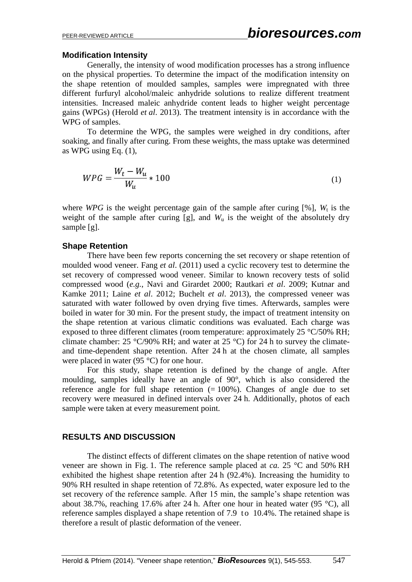#### **Modification Intensity**

Generally, the intensity of wood modification processes has a strong influence on the physical properties. To determine the impact of the modification intensity on the shape retention of moulded samples, samples were impregnated with three different furfuryl alcohol/maleic anhydride solutions to realize different treatment intensities. Increased maleic anhydride content leads to higher weight percentage gains (WPGs) (Herold *et al*. 2013). The treatment intensity is in accordance with the WPG of samples.

To determine the WPG, the samples were weighed in dry conditions, after soaking, and finally after curing. From these weights, the mass uptake was determined as WPG using Eq. (1),

$$
WPG = \frac{W_t - W_u}{W_u} \times 100\tag{1}
$$

where *WPG* is the weight percentage gain of the sample after curing [%],  $W_t$  is the weight of the sample after curing  $[g]$ , and  $W<sub>u</sub>$  is the weight of the absolutely dry sample [g].

#### **Shape Retention**

There have been few reports concerning the set recovery or shape retention of moulded wood veneer. Fang *et al*. (2011) used a cyclic recovery test to determine the set recovery of compressed wood veneer. Similar to known recovery tests of solid compressed wood (*e.g.*, Navi and Girardet 2000; Rautkari *et al*. 2009; Kutnar and Kamke 2011; Laine *et al*. 2012; Buchelt *et al*. 2013), the compressed veneer was saturated with water followed by oven drying five times. Afterwards, samples were boiled in water for 30 min. For the present study, the impact of treatment intensity on the shape retention at various climatic conditions was evaluated. Each charge was exposed to three different climates (room temperature: approximately 25 °C/50% RH; climate chamber: 25  $\degree$ C/90% RH; and water at 25  $\degree$ C) for 24 h to survey the climateand time-dependent shape retention. After 24 h at the chosen climate, all samples were placed in water (95 °C) for one hour.

For this study, shape retention is defined by the change of angle. After moulding, samples ideally have an angle of 90°, which is also considered the reference angle for full shape retention  $(= 100\%)$ . Changes of angle due to set recovery were measured in defined intervals over 24 h. Additionally, photos of each sample were taken at every measurement point.

## **RESULTS AND DISCUSSION**

The distinct effects of different climates on the shape retention of native wood veneer are shown in Fig. 1. The reference sample placed at *ca.* 25 °C and 50% RH exhibited the highest shape retention after 24 h (92.4%). Increasing the humidity to 90% RH resulted in shape retention of 72.8%. As expected, water exposure led to the set recovery of the reference sample. After 15 min, the sample's shape retention was about 38.7%, reaching 17.6% after 24 h. After one hour in heated water (95 °C), all reference samples displayed a shape retention of 7.9 to 10.4%. The retained shape is therefore a result of plastic deformation of the veneer.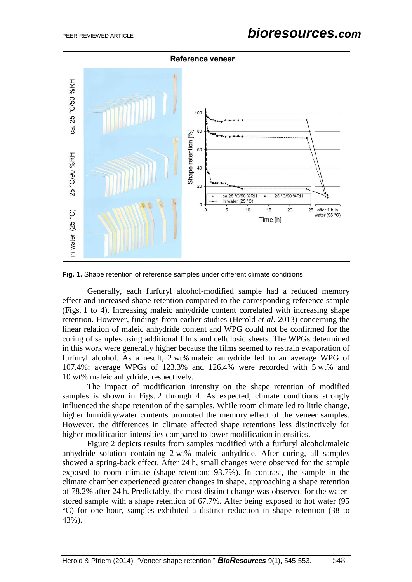

**Fig. 1.** Shape retention of reference samples under different climate conditions

Generally, each furfuryl alcohol-modified sample had a reduced memory effect and increased shape retention compared to the corresponding reference sample (Figs. 1 to 4). Increasing maleic anhydride content correlated with increasing shape retention. However, findings from earlier studies (Herold *et al*. 2013) concerning the linear relation of maleic anhydride content and WPG could not be confirmed for the curing of samples using additional films and cellulosic sheets. The WPGs determined in this work were generally higher because the films seemed to restrain evaporation of furfuryl alcohol. As a result, 2 wt% maleic anhydride led to an average WPG of 107.4%; average WPGs of 123.3% and 126.4% were recorded with 5 wt% and 10 wt% maleic anhydride, respectively.

The impact of modification intensity on the shape retention of modified samples is shown in Figs. 2 through 4. As expected, climate conditions strongly influenced the shape retention of the samples. While room climate led to little change, higher humidity/water contents promoted the memory effect of the veneer samples. However, the differences in climate affected shape retentions less distinctively for higher modification intensities compared to lower modification intensities.

Figure 2 depicts results from samples modified with a furfuryl alcohol/maleic anhydride solution containing 2 wt% maleic anhydride. After curing, all samples showed a spring-back effect. After 24 h, small changes were observed for the sample exposed to room climate (shape-retention: 93.7%). In contrast, the sample in the climate chamber experienced greater changes in shape, approaching a shape retention of 78.2% after 24 h. Predictably, the most distinct change was observed for the waterstored sample with a shape retention of 67.7%. After being exposed to hot water (95 °C) for one hour, samples exhibited a distinct reduction in shape retention (38 to 43%).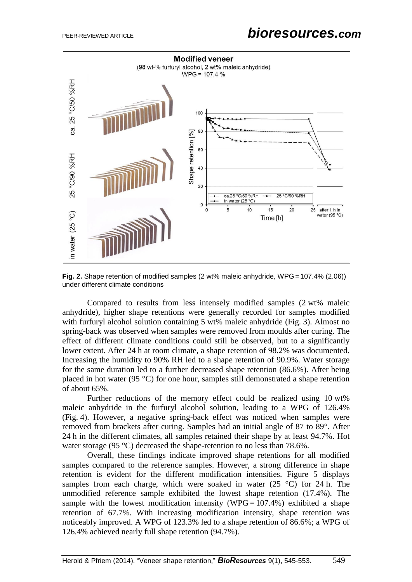

**Fig. 2.** Shape retention of modified samples (2 wt% maleic anhydride, WPG = 107.4% (2.06)) under different climate conditions

Compared to results from less intensely modified samples (2 wt% maleic anhydride), higher shape retentions were generally recorded for samples modified with furfuryl alcohol solution containing 5 wt% maleic anhydride (Fig. 3). Almost no spring-back was observed when samples were removed from moulds after curing. The effect of different climate conditions could still be observed, but to a significantly lower extent. After 24 h at room climate, a shape retention of 98.2% was documented. Increasing the humidity to 90% RH led to a shape retention of 90.9%. Water storage for the same duration led to a further decreased shape retention (86.6%). After being placed in hot water (95 °C) for one hour, samples still demonstrated a shape retention of about 65%.

Further reductions of the memory effect could be realized using 10 wt% maleic anhydride in the furfuryl alcohol solution, leading to a WPG of 126.4% (Fig. 4). However, a negative spring-back effect was noticed when samples were removed from brackets after curing. Samples had an initial angle of 87 to 89°. After 24 h in the different climates, all samples retained their shape by at least 94.7%. Hot water storage (95 °C) decreased the shape-retention to no less than 78.6%.

Overall, these findings indicate improved shape retentions for all modified samples compared to the reference samples. However, a strong difference in shape retention is evident for the different modification intensities. Figure 5 displays samples from each charge, which were soaked in water  $(25 \text{ °C})$  for 24 h. The unmodified reference sample exhibited the lowest shape retention (17.4%). The sample with the lowest modification intensity (WPG =  $107.4\%$ ) exhibited a shape retention of 67.7%. With increasing modification intensity, shape retention was noticeably improved. A WPG of 123.3% led to a shape retention of 86.6%; a WPG of 126.4% achieved nearly full shape retention (94.7%).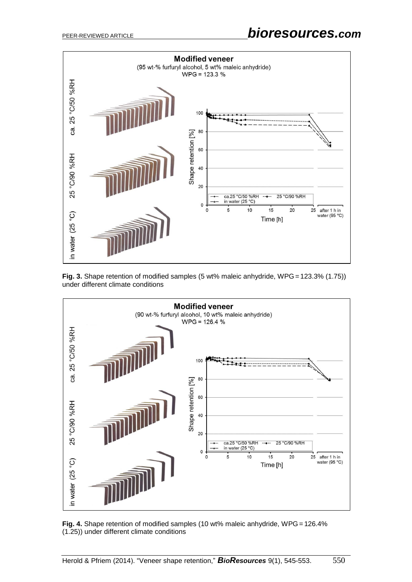

**Fig. 3.** Shape retention of modified samples (5 wt% maleic anhydride, WPG = 123.3% (1.75)) under different climate conditions



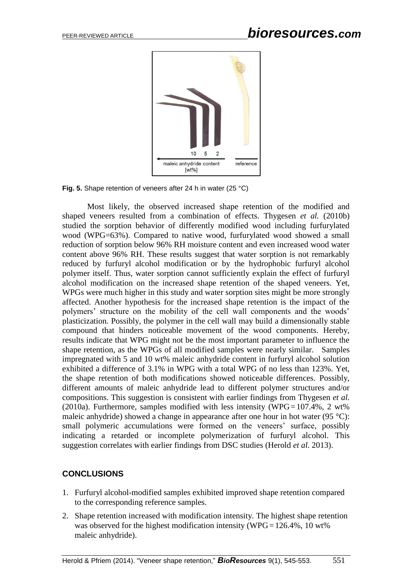

**Fig. 5.** Shape retention of veneers after 24 h in water (25 °C)

Most likely, the observed increased shape retention of the modified and shaped veneers resulted from a combination of effects. Thygesen *et al.* (2010b) studied the sorption behavior of differently modified wood including furfurylated wood (WPG=63%). Compared to native wood, furfurylated wood showed a small reduction of sorption below 96% RH moisture content and even increased wood water content above 96% RH. These results suggest that water sorption is not remarkably reduced by furfuryl alcohol modification or by the hydrophobic furfuryl alcohol polymer itself. Thus, water sorption cannot sufficiently explain the effect of furfuryl alcohol modification on the increased shape retention of the shaped veneers. Yet, WPGs were much higher in this study and water sorption sites might be more strongly affected. Another hypothesis for the increased shape retention is the impact of the polymers' structure on the mobility of the cell wall components and the woods' plasticization. Possibly, the polymer in the cell wall may build a dimensionally stable compound that hinders noticeable movement of the wood components. Hereby, results indicate that WPG might not be the most important parameter to influence the shape retention, as the WPGs of all modified samples were nearly similar. Samples impregnated with 5 and 10 wt% maleic anhydride content in furfuryl alcohol solution exhibited a difference of 3.1% in WPG with a total WPG of no less than 123%. Yet, the shape retention of both modifications showed noticeable differences. Possibly, different amounts of maleic anhydride lead to different polymer structures and/or compositions. This suggestion is consistent with earlier findings from Thygesen *et al.*  (2010a). Furthermore, samples modified with less intensity (WPG =  $107.4\%$ , 2 wt%) maleic anhydride) showed a change in appearance after one hour in hot water (95 °C): small polymeric accumulations were formed on the veneers' surface, possibly indicating a retarded or incomplete polymerization of furfuryl alcohol. This suggestion correlates with earlier findings from DSC studies (Herold *et al.* 2013).

#### **CONCLUSIONS**

- 1. Furfuryl alcohol-modified samples exhibited improved shape retention compared to the corresponding reference samples.
- 2. Shape retention increased with modification intensity. The highest shape retention was observed for the highest modification intensity (WPG =  $126.4\%$ , 10 wt% maleic anhydride).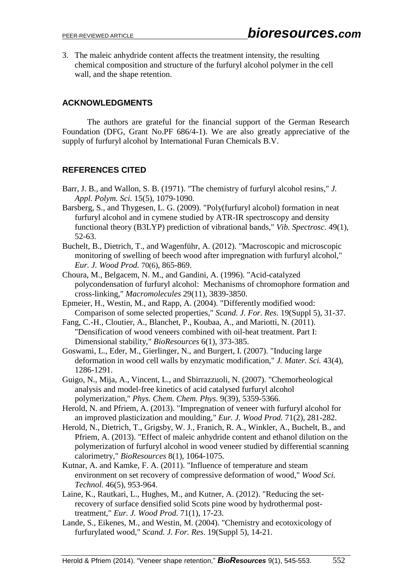3. The maleic anhydride content affects the treatment intensity, the resulting chemical composition and structure of the furfuryl alcohol polymer in the cell wall, and the shape retention.

# **ACKNOWLEDGMENTS**

The authors are grateful for the financial support of the German Research Foundation (DFG, Grant No.PF 686/4-1). We are also greatly appreciative of the supply of furfuryl alcohol by International Furan Chemicals B.V.

# **REFERENCES CITED**

- Barr, J. B., and Wallon, S. B. (1971). "The chemistry of furfuryl alcohol resins," *J. Appl. Polym. Sci.* 15(5), 1079-1090.
- Barsberg, S., and Thygesen, L. G. (2009). "Poly(furfuryl alcohol) formation in neat furfuryl alcohol and in cymene studied by ATR-IR spectroscopy and density functional theory (B3LYP) prediction of vibrational bands," *Vib. Spectrosc.* 49(1), 52-63.
- Buchelt, B., Dietrich, T., and Wagenführ, A. (2012). "Macroscopic and microscopic monitoring of swelling of beech wood after impregnation with furfuryl alcohol," *Eur. J. Wood Prod.* 70(6), 865-869.
- Choura, M., Belgacem, N. M., and Gandini, A. (1996). "Acid-catalyzed polycondensation of furfuryl alcohol: Mechanisms of chromophore formation and cross-linking," *Macromolecules* 29(11), 3839-3850.
- Epmeier, H., Westin, M., and Rapp, A. (2004). "Differently modified wood: Comparison of some selected properties," *Scand. J. For. Res.* 19(Suppl 5), 31-37.
- Fang, C.-H., Cloutier, A., Blanchet, P., Koubaa, A., and Mariotti, N. (2011). "Densification of wood veneers combined with oil-heat treatment. Part I: Dimensional stability," *BioResources* 6(1), 373-385.
- Goswami, L., Eder, M., Gierlinger, N., and Burgert, I. (2007). "Inducing large deformation in wood cell walls by enzymatic modification," *J. Mater. Sci.* 43(4), 1286-1291.
- Guigo, N., Mija, A., Vincent, L., and Sbirrazzuoli, N. (2007). "Chemorheological analysis and model-free kinetics of acid catalysed furfuryl alcohol polymerization," *Phys. Chem. Chem. Phys*. 9(39), 5359-5366.
- Herold, N. and Pfriem, A. (2013). "Impregnation of veneer with furfuryl alcohol for an improved plasticization and moulding," *Eur. J. Wood Prod.* 71(2), 281-282.
- Herold, N., Dietrich, T., Grigsby, W. J., Franich, R. A., Winkler, A., Buchelt, B., and Pfriem, A. (2013). "Effect of maleic anhydride content and ethanol dilution on the polymerization of furfuryl alcohol in wood veneer studied by differential scanning calorimetry," *BioResources* 8(1), 1064-1075.
- Kutnar, A. and Kamke, F. A. (2011). "Influence of temperature and steam environment on set recovery of compressive deformation of wood," *Wood Sci. Technol.* 46(5), 953-964.
- Laine, K., Rautkari, L., Hughes, M., and Kutner, A. (2012). "Reducing the setrecovery of surface densified solid Scots pine wood by hydrothermal posttreatment," *Eur. J. Wood Prod.* 71(1), 17-23.
- Lande, S., Eikenes, M., and Westin, M. (2004). "Chemistry and ecotoxicology of furfurylated wood," *Scand. J. For. Res*. 19(Suppl 5), 14-21.